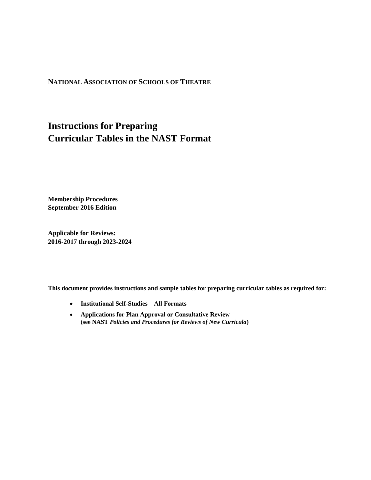#### **NATIONAL ASSOCIATION OF SCHOOLS OF THEATRE**

# **Instructions for Preparing Curricular Tables in the NAST Format**

**Membership Procedures September 2016 Edition**

**Applicable for Reviews: 2016-2017 through 2023-2024**

**This document provides instructions and sample tables for preparing curricular tables as required for:**

- **Institutional Self-Studies – All Formats**
- **Applications for Plan Approval or Consultative Review (see NAST** *Policies and Procedures for Reviews of New Curricula***)**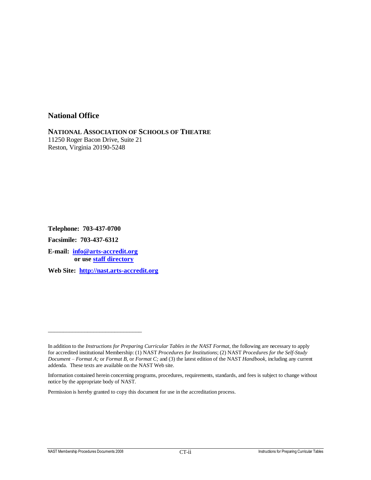## **National Office**

**NATIONAL ASSOCIATION OF SCHOOLS OF THEATRE** 11250 Roger Bacon Drive, Suite 21 Reston, Virginia 20190-5248

**Telephone: 703-437-0700**

**Facsimile: 703-437-6312**

**E-mail: [info@arts-accredit.org](mailto:info@arts-accredit.org) or use [staff directory](http://nast.arts-accredit.org/about/staff/)**

\_\_\_\_\_\_\_\_\_\_\_\_\_\_\_\_\_\_\_\_\_\_\_\_\_\_\_\_\_\_\_

**Web Site: [http://nast.arts-accredit.org](http://nast.arts-accredit.org/)**

Permission is hereby granted to copy this document for use in the accreditation process.

In addition to the *Instructions for Preparing Curricular Tables in the NAST Format*, the following are necessary to apply for accredited institutional Membership: (1) NAST *Procedures for Institutions*; (2) NAST *Procedures for the Self-Study Document – Format A;* or *Format B,* or *Format C;* and (3) the latest edition of the NAST *Handbook,* including any current addenda. These texts are available on the NAST Web site.

Information contained herein concerning programs, procedures, requirements, standards, and fees is subject to change without notice by the appropriate body of NAST.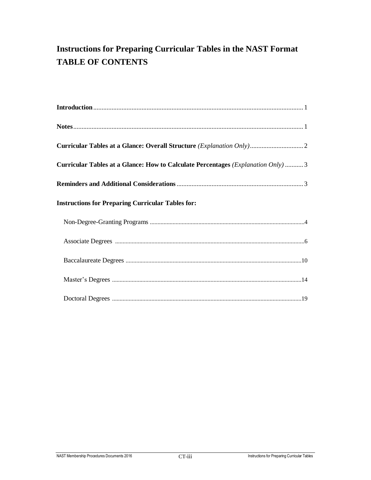# **Instructions for Preparing Curricular Tables in the NAST Format TABLE OF CONTENTS**

| Curricular Tables at a Glance: Overall Structure (Explanation Only) 2                   |
|-----------------------------------------------------------------------------------------|
| <b>Curricular Tables at a Glance: How to Calculate Percentages (Explanation Only) 3</b> |
|                                                                                         |
| <b>Instructions for Preparing Curricular Tables for:</b>                                |
|                                                                                         |
|                                                                                         |
|                                                                                         |
|                                                                                         |
|                                                                                         |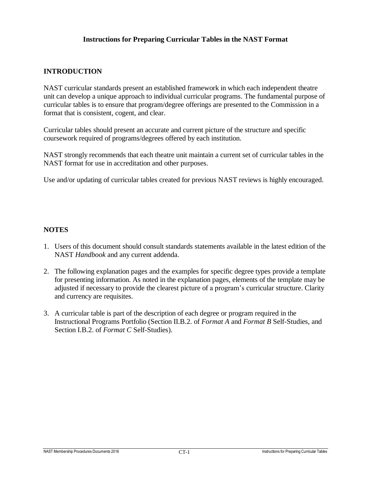## **Instructions for Preparing Curricular Tables in the NAST Format**

## **INTRODUCTION**

NAST curricular standards present an established framework in which each independent theatre unit can develop a unique approach to individual curricular programs. The fundamental purpose of curricular tables is to ensure that program/degree offerings are presented to the Commission in a format that is consistent, cogent, and clear.

Curricular tables should present an accurate and current picture of the structure and specific coursework required of programs/degrees offered by each institution.

NAST strongly recommends that each theatre unit maintain a current set of curricular tables in the NAST format for use in accreditation and other purposes.

Use and/or updating of curricular tables created for previous NAST reviews is highly encouraged.

## **NOTES**

- 1. Users of this document should consult standards statements available in the latest edition of the NAST *Handbook* and any current addenda.
- 2. The following explanation pages and the examples for specific degree types provide a template for presenting information. As noted in the explanation pages, elements of the template may be adjusted if necessary to provide the clearest picture of a program's curricular structure. Clarity and currency are requisites.
- 3. A curricular table is part of the description of each degree or program required in the Instructional Programs Portfolio (Section II.B.2. of *Format A* and *Format B* Self-Studies, and Section I.B.2. of *Format C* Self-Studies).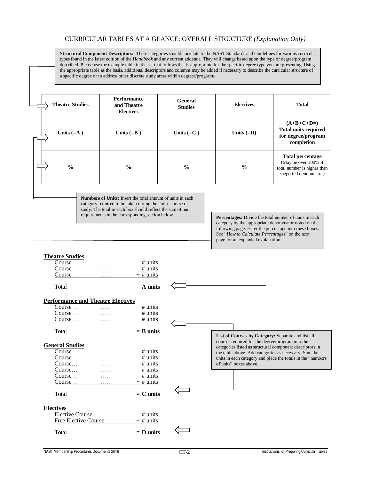#### CURRICULAR TABLES AT A GLANCE: OVERALL STRUCTURE *(Explanation Only)*

**Structural Component Descriptors:** These categories should correlate to the NAST Standards and Guidelines for various curricula types found in the latest edition of the *Handbook* and any current addenda*.* They will change based upon the type of degree/program described. Please use the example table in the set that follows that is appropriate for the specific degree type you are presenting. Using the appropriate table as the basis, additional descriptors and columns may be added if necessary to describe the curricular structure of a specific degree or to address other discrete study areas within degrees/programs.

| <b>Theatre Studies</b> | <b>Performance</b><br>and Theatre<br><b>Electives</b> | General<br><b>Studies</b> | <b>Electives</b> | <b>Total</b>                                                                                             |
|------------------------|-------------------------------------------------------|---------------------------|------------------|----------------------------------------------------------------------------------------------------------|
| Units $(=A)$           | Units $(=B)$                                          | Units $(=C)$              | Units $(=D)$     | $(A+B+C+D=)$<br><b>Total units required</b><br>for degree/program<br>completion                          |
| $\frac{0}{0}$          | $\frac{0}{0}$                                         | $\frac{0}{0}$             | $\frac{0}{0}$    | <b>Total percentage</b><br>(May be over 100% if<br>total number is higher than<br>suggested denominator) |

**Numbers of Units:** Insert the total amount of units in each category required to be taken during the entire course of study. The total in each box should reflect the sum of unit requirements in the corresponding section below.

Percentages: Divide the total number of units in each category by the appropriate denominator noted on the following page. Enter the percentage into these boxes. See "*How to Calculate Percentages*" on the next page for an expanded explanation.

#### **Theatre Studies** Course … …… # units Course … …… # units

| $Course \dots$                           |          | $+$ # units |                                                                                                              |
|------------------------------------------|----------|-------------|--------------------------------------------------------------------------------------------------------------|
| Total                                    |          | $=$ A units |                                                                                                              |
| <b>Performance and Theatre Electives</b> |          |             |                                                                                                              |
| Course                                   |          | $#$ units   |                                                                                                              |
| Course $\dots$                           | .        | $#$ units   |                                                                                                              |
| Course $\dots$ $\dots$                   |          | $+$ # units |                                                                                                              |
| Total                                    |          | $=$ B units | List of Courses by Category: Separate and list all                                                           |
| <b>General Studies</b>                   |          |             | courses required for the degree/program into the<br>categories listed as structural component descriptors in |
| Course $\dots$                           |          | $\#$ units  | the table above. Add categories as necessary. Sum the                                                        |
| Course $\dots$                           |          | $#$ units   | units in each category and place the totals in the "numbers"                                                 |
| Course                                   |          | $#$ units   | of units" boxes above.                                                                                       |
| Course                                   |          | $#$ units   |                                                                                                              |
| Course                                   |          | $#$ units   |                                                                                                              |
| Course                                   | .        | $+$ # units |                                                                                                              |
| Total                                    |          | $= C$ units |                                                                                                              |
| <b>Electives</b>                         |          |             |                                                                                                              |
| <b>Elective Course</b>                   | $\ldots$ | $#$ units   |                                                                                                              |
| <b>Free Elective Course</b>              |          | $+$ # units |                                                                                                              |
| Total                                    |          | $= D$ units |                                                                                                              |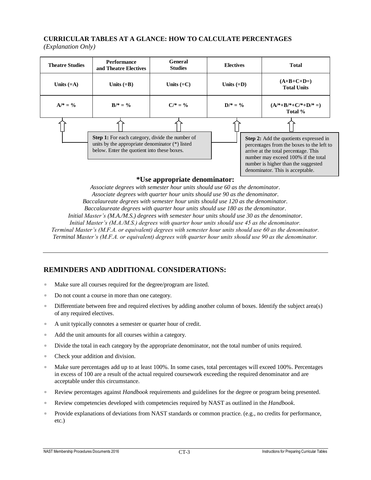# **CURRICULAR TABLES AT A GLANCE: HOW TO CALCULATE PERCENTAGES**

*(Explanation Only)*

| <b>Theatre Studies</b> | <b>Performance</b><br>and Theatre Electives                                                                                                              | General<br><b>Studies</b> | <b>Electives</b> | <b>Total</b>                                                                                                                                                                                                                                         |
|------------------------|----------------------------------------------------------------------------------------------------------------------------------------------------------|---------------------------|------------------|------------------------------------------------------------------------------------------------------------------------------------------------------------------------------------------------------------------------------------------------------|
| Units $(=A)$           | Units $(=B)$                                                                                                                                             | Units $(=C)$              | Units $(=D)$     | $(A+B+C+D=)$<br><b>Total Units</b>                                                                                                                                                                                                                   |
| $A/* = \%$             | $B/* = \%$                                                                                                                                               | $C/* = %$                 | $D/* = \%$       | $(A/*+B/*+C/*+D/*=)$<br>Total %                                                                                                                                                                                                                      |
|                        | <b>Step 1:</b> For each category, divide the number of<br>units by the appropriate denominator (*) listed<br>below. Enter the quotient into these boxes. |                           |                  | <b>Step 2:</b> Add the quotients expressed in<br>percentages from the boxes to the left to<br>arrive at the total percentage. This<br>number may exceed 100% if the total<br>number is higher than the suggested<br>denominator. This is acceptable. |

#### **\*Use appropriate denominator:**

*Associate degrees with semester hour units should use 60 as the denominator. Associate degrees with quarter hour units should use 90 as the denominator. Baccalaureate degrees with semester hour units should use 120 as the denominator. Baccalaureate degrees with quarter hour units should use 180 as the denominator. Initial Master's (M.A./M.S.) degrees with semester hour units should use 30 as the denominator. Initial Master's (M.A./M.S.) degrees with quarter hour units should use 45 as the denominator. Terminal Master's (M.F.A. or equivalent) degrees with semester hour units should use 60 as the denominator. Terminal Master's (M.F.A. or equivalent) degrees with quarter hour units should use 90 as the denominator.*

## **REMINDERS AND ADDITIONAL CONSIDERATIONS:**

- Make sure all courses required for the degree/program are listed.
- Do not count a course in more than one category.
- □ Differentiate between free and required electives by adding another column of boxes. Identify the subject area(s) of any required electives.
- A unit typically connotes a semester or quarter hour of credit.
- Add the unit amounts for all courses within a category.
- □ Divide the total in each category by the appropriate denominator, not the total number of units required.
- Check your addition and division.
- Make sure percentages add up to at least 100%. In some cases, total percentages will exceed 100%. Percentages in excess of 100 are a result of the actual required coursework exceeding the required denominator and are acceptable under this circumstance.
- Review percentages against *Handbook* requirements and guidelines for the degree or program being presented.
- Review competencies developed with competencies required by NAST as outlined in the *Handbook*.
- Provide explanations of deviations from NAST standards or common practice. (e.g., no credits for performance, etc.)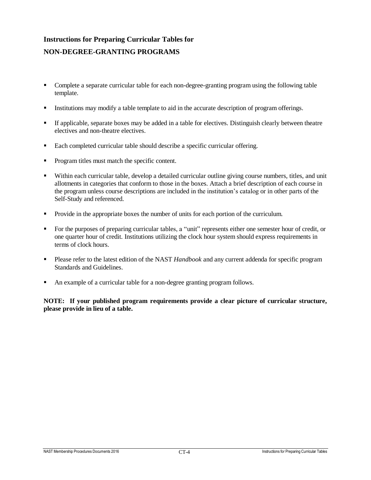# **Instructions for Preparing Curricular Tables for NON-DEGREE-GRANTING PROGRAMS**

- Complete a separate curricular table for each non-degree-granting program using the following table template.
- Institutions may modify a table template to aid in the accurate description of program offerings.
- If applicable, separate boxes may be added in a table for electives. Distinguish clearly between theatre electives and non-theatre electives.
- Each completed curricular table should describe a specific curricular offering.
- Program titles must match the specific content.
- Within each curricular table, develop a detailed curricular outline giving course numbers, titles, and unit allotments in categories that conform to those in the boxes. Attach a brief description of each course in the program unless course descriptions are included in the institution's catalog or in other parts of the Self-Study and referenced.
- Provide in the appropriate boxes the number of units for each portion of the curriculum.
- For the purposes of preparing curricular tables, a "unit" represents either one semester hour of credit, or one quarter hour of credit. Institutions utilizing the clock hour system should express requirements in terms of clock hours.
- Please refer to the latest edition of the NAST *Handbook* and any current addenda for specific program Standards and Guidelines.
- An example of a curricular table for a non-degree granting program follows.

**NOTE:** If your published program requirements provide a clear picture of curricular structure, **please provide in lieu of a table.**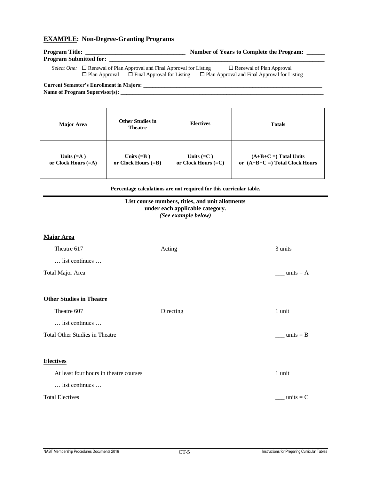#### **EXAMPLE: Non-Degree-Granting Programs**

| <b>Program Title:</b>         | <b>Number of Years to Complete the Program:</b> |
|-------------------------------|-------------------------------------------------|
| <b>Program Submitted for:</b> |                                                 |

*Select One:* □ Renewal of Plan Approval and Final Approval for Listing □ Renewal of Plan Approval  $\Box$  Plan Approval  $\Box$  Final Approval for Listing  $\Box$  Plan Approval and Final Approval for Listing

**Current Semester's Enrollment in Majors: \_\_\_\_\_\_\_\_\_\_\_\_\_\_\_\_\_\_\_\_\_\_\_\_\_\_\_\_\_\_\_\_\_\_\_\_\_\_\_\_\_\_\_\_\_\_\_\_\_\_\_\_\_\_\_\_\_\_\_**

**Name of Program Supervisor(s): \_\_\_\_\_\_\_\_\_\_\_\_\_\_\_\_\_\_\_\_\_\_\_\_\_\_\_\_\_\_\_\_\_\_\_\_\_\_\_\_\_\_\_\_\_\_\_\_\_\_\_\_\_\_\_\_\_\_\_\_\_\_\_\_\_\_\_**

| <b>Major Area</b>     | <b>Other Studies in</b><br><b>Theatre</b> | <b>Electives</b>      | <b>Totals</b>                   |
|-----------------------|-------------------------------------------|-----------------------|---------------------------------|
| Units $(=A)$          | Units $(=B)$                              | Units $(=C)$          | $(A+B+C=)$ Total Units          |
| or Clock Hours $(=A)$ | or Clock Hours $(=B)$                     | or Clock Hours $(=C)$ | or $(A+B+C=)$ Total Clock Hours |

**Percentage calculations are not required for this curricular table.**

#### **List course numbers, titles, and unit allotments under each applicable category.** *(See example below)*

# **Major Area** Theatre 617 **Acting 3 units** 3 units … list continues … Total Major Area \_\_\_ \_\_\_ units = A **Other Studies in Theatre** Theatre 607 Directing 1 unit … list continues … Total Other Studies in Theatre \_\_\_\_ units = B **Electives** At least four hours in theatre courses 1 unit … list continues … Total Electives  $\text{units} = \text{C}$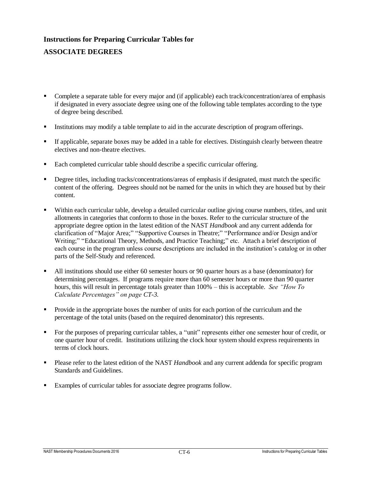# **Instructions for Preparing Curricular Tables for ASSOCIATE DEGREES**

- Complete a separate table for every major and (if applicable) each track/concentration/area of emphasis if designated in every associate degree using one of the following table templates according to the type of degree being described.
- Institutions may modify a table template to aid in the accurate description of program offerings.
- If applicable, separate boxes may be added in a table for electives. Distinguish clearly between theatre electives and non-theatre electives.
- Each completed curricular table should describe a specific curricular offering.
- Degree titles, including tracks/concentrations/areas of emphasis if designated, must match the specific content of the offering. Degrees should not be named for the units in which they are housed but by their content.
- Within each curricular table, develop a detailed curricular outline giving course numbers, titles, and unit allotments in categories that conform to those in the boxes. Refer to the curricular structure of the appropriate degree option in the latest edition of the NAST *Handbook* and any current addenda for clarification of "Major Area;" "Supportive Courses in Theatre;" "Performance and/or Design and/or Writing;" "Educational Theory, Methods, and Practice Teaching;" etc. Attach a brief description of each course in the program unless course descriptions are included in the institution's catalog or in other parts of the Self-Study and referenced.
- All institutions should use either 60 semester hours or 90 quarter hours as a base (denominator) for determining percentages. If programs require more than 60 semester hours or more than 90 quarter hours, this will result in percentage totals greater than 100% – this is acceptable. *See "How To Calculate Percentages" on page CT-3.*
- Provide in the appropriate boxes the number of units for each portion of the curriculum and the percentage of the total units (based on the required denominator) this represents.
- For the purposes of preparing curricular tables, a "unit" represents either one semester hour of credit, or one quarter hour of credit. Institutions utilizing the clock hour system should express requirements in terms of clock hours.
- Please refer to the latest edition of the NAST *Handbook* and any current addenda for specific program Standards and Guidelines.
- Examples of curricular tables for associate degree programs follow.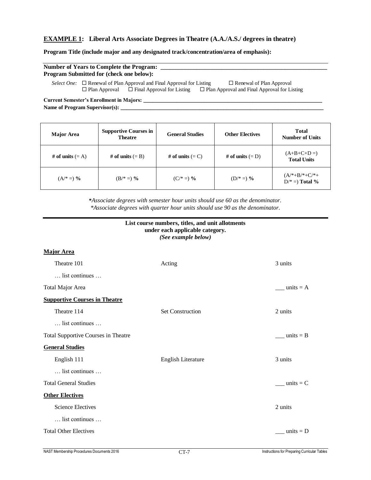#### **EXAMPLE 1: Liberal Arts Associate Degrees in Theatre (A.A./A.S./ degrees in theatre)**

#### **Program Title (include major and any designated track/concentration/area of emphasis):**

| <b>Number of Years to Complete the Program:</b> |  |                                                                                                                                             |                                                                                        |  |  |  |
|-------------------------------------------------|--|---------------------------------------------------------------------------------------------------------------------------------------------|----------------------------------------------------------------------------------------|--|--|--|
| <b>Program Submitted for (check one below):</b> |  |                                                                                                                                             |                                                                                        |  |  |  |
|                                                 |  | <i>Select One:</i> $\Box$ Renewal of Plan Approval and Final Approval for Listing<br>$\Box$ Plan Approval $\Box$ Final Approval for Listing | $\Box$ Renewal of Plan Approval<br>$\Box$ Plan Approval and Final Approval for Listing |  |  |  |

**Current Semester's Enrollment in Majors: \_\_\_\_\_\_\_\_\_\_\_\_\_\_\_\_\_\_\_\_\_\_\_\_\_\_\_\_\_\_\_\_\_\_\_\_\_\_\_\_\_\_\_\_\_\_\_\_\_\_\_\_\_\_\_\_\_\_\_** Name of Program Supervisor(s):

| <b>Major Area</b>  | <b>Supportive Courses in</b><br><b>Theatre</b> | <b>General Studies</b> | <b>Other Electives</b> | <b>Total</b><br><b>Number of Units</b> |
|--------------------|------------------------------------------------|------------------------|------------------------|----------------------------------------|
| # of units $(= A)$ | # of units $(= B)$                             | # of units $(=C)$      | # of units $(= D)$     | $(A+B+C+D=)$<br><b>Total Units</b>     |
| $(A^* =)$ %        | $(B/* =)$ %                                    | $(C/* =)$ %            | $(D/* =)$ %            | $(A/*+B/*+C/*+$<br>$D/* =$ Total %     |

**\****Associate degrees with semester hour units should use 60 as the denominator. \*Associate degrees with quarter hour units should use 90 as the denominator.*

| List course numbers, titles, and unit allotments<br>under each applicable category.<br>(See example below) |                           |                    |  |  |
|------------------------------------------------------------------------------------------------------------|---------------------------|--------------------|--|--|
| <b>Major Area</b>                                                                                          |                           |                    |  |  |
| Theatre 101                                                                                                | Acting                    | 3 units            |  |  |
| list continues                                                                                             |                           |                    |  |  |
| Total Major Area                                                                                           |                           | units $= A$        |  |  |
| <b>Supportive Courses in Theatre</b>                                                                       |                           |                    |  |  |
| Theatre 114                                                                                                | <b>Set Construction</b>   | 2 units            |  |  |
| list continues                                                                                             |                           |                    |  |  |
| <b>Total Supportive Courses in Theatre</b>                                                                 |                           | units $=$ B        |  |  |
| <b>General Studies</b>                                                                                     |                           |                    |  |  |
| English 111                                                                                                | <b>English Literature</b> | 3 units            |  |  |
| list continues                                                                                             |                           |                    |  |  |
| <b>Total General Studies</b>                                                                               |                           | $\equiv$ units = C |  |  |
| <b>Other Electives</b>                                                                                     |                           |                    |  |  |
| <b>Science Electives</b>                                                                                   |                           | 2 units            |  |  |
| list continues                                                                                             |                           |                    |  |  |
| <b>Total Other Electives</b>                                                                               |                           | units $= D$        |  |  |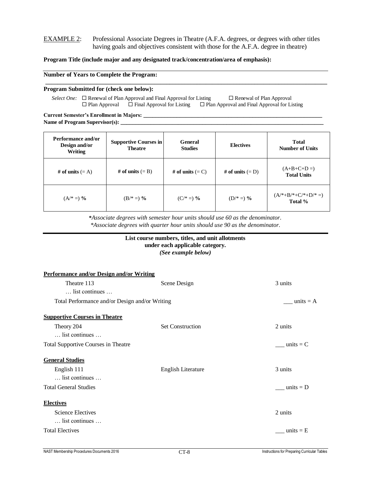#### EXAMPLE 2: Professional Associate Degrees in Theatre (A.F.A. degrees, or degrees with other titles having goals and objectives consistent with those for the A.F.A. degree in theatre)

**\_\_\_\_\_\_\_\_\_\_\_\_\_\_\_\_\_\_\_\_\_\_\_\_\_\_\_\_\_\_\_\_\_\_\_\_\_\_\_\_\_\_\_\_\_\_\_\_\_\_\_\_\_\_\_\_\_\_\_\_\_\_\_\_\_\_\_\_\_\_\_\_\_\_\_\_\_\_\_\_\_\_\_\_\_\_\_\_\_\_\_\_\_**

#### **Program Title (include major and any designated track/concentration/area of emphasis):**

#### **Number of Years to Complete the Program:**

#### **Program Submitted for (check one below):**

*Select One:* □ Renewal of Plan Approval and Final Approval for Listing □ Renewal of Plan Approval  $\Box$  Plan Approval  $\Box$  Final Approval for Listing  $\Box$  Plan Approval and Final Approval for Listing

**Current Semester's Enrollment in Majors: \_\_\_\_\_\_\_\_\_\_\_\_\_\_\_\_\_\_\_\_\_\_\_\_\_\_\_\_\_\_\_\_\_\_\_\_\_\_\_\_\_\_\_\_\_\_\_\_\_\_\_\_\_\_\_\_\_\_\_** Name of Program Supervisor(s):

| Performance and/or<br>Design and/or<br><b>Writing</b> | <b>Supportive Courses in</b><br><b>Theatre</b> | <b>General</b><br><b>Studies</b> | <b>Electives</b>   | <b>Total</b><br><b>Number of Units</b>  |
|-------------------------------------------------------|------------------------------------------------|----------------------------------|--------------------|-----------------------------------------|
| # of units $(= A)$                                    | # of units $(= B)$                             | # of units $(= C)$               | # of units $(= D)$ | $(A+B+C+D=)$<br><b>Total Units</b>      |
| $(A^{*}=)$ %                                          | $(B/* =)$ %                                    | $(C/* =)$ %                      | $(D/* =)$ %        | $(A^{*}+B^{*}+C^{*}+D^{*}=)$<br>Total % |

**\****Associate degrees with semester hour units should use 60 as the denominator. \*Associate degrees with quarter hour units should use 90 as the denominator.*

## **List course numbers, titles, and unit allotments under each applicable category.**

*(See example below)*

| <b>Performance and/or Design and/or Writing</b>              |                           |                    |
|--------------------------------------------------------------|---------------------------|--------------------|
| Theatre 113<br>list continues                                | Scene Design              | 3 units            |
| Total Performance and/or Design and/or Writing               |                           | units $= A$        |
| <b>Supportive Courses in Theatre</b>                         |                           |                    |
| Theory 204<br>list continues                                 | <b>Set Construction</b>   | 2 units            |
| <b>Total Supportive Courses in Theatre</b>                   |                           | $\equiv$ units = C |
| <b>General Studies</b>                                       |                           |                    |
| English 111<br>list continues                                | <b>English Literature</b> | 3 units            |
| <b>Total General Studies</b>                                 |                           | units $= D$        |
| <b>Electives</b>                                             |                           |                    |
| <b>Science Electives</b><br>$\ldots$ list continues $\ldots$ |                           | 2 units            |
| <b>Total Electives</b>                                       |                           | units $=$ E        |
|                                                              |                           |                    |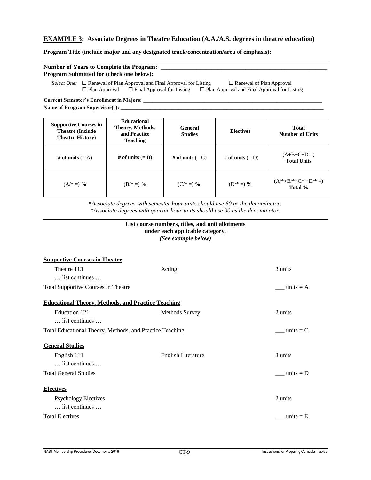#### **EXAMPLE 3: Associate Degrees in Theatre Education (A.A./A.S. degrees in theatre education)**

#### **Program Title (include major and any designated track/concentration/area of emphasis):**

| <b>Number of Years to Complete the Program:</b>                                   |                                 |  |  |  |  |
|-----------------------------------------------------------------------------------|---------------------------------|--|--|--|--|
| <b>Program Submitted for (check one below):</b>                                   |                                 |  |  |  |  |
| <i>Select One:</i> $\Box$ Renewal of Plan Approval and Final Approval for Listing | $\Box$ Renewal of Plan Approval |  |  |  |  |

 $\Box$  Plan Approval  $\Box$  Final Approval for Listing  $\Box$  Plan Approval and Final Approval for Listing

**Current Semester's Enrollment in Majors: \_\_\_\_\_\_\_\_\_\_\_\_\_\_\_\_\_\_\_\_\_\_\_\_\_\_\_\_\_\_\_\_\_\_\_\_\_\_\_\_\_\_\_\_\_\_\_\_\_\_\_\_\_\_\_\_\_\_\_** Name of Program Supervisor(s):

| <b>Supportive Courses in</b><br><b>Theatre (Include)</b><br><b>Theatre History</b> ) | <b>Educational</b><br>Theory, Methods,<br>and Practice<br><b>Teaching</b> | <b>General</b><br><b>Studies</b> | <b>Electives</b>   | Total<br><b>Number of Units</b>    |
|--------------------------------------------------------------------------------------|---------------------------------------------------------------------------|----------------------------------|--------------------|------------------------------------|
| # of units $(= A)$                                                                   | # of units $(= B)$                                                        | # of units $(= C)$               | # of units $(= D)$ | $(A+B+C+D=)$<br><b>Total Units</b> |
| $(A^{*} =)$ %                                                                        | $(B/* =)$ %                                                               | $(C/* =)$ %                      | $(D/* =)$ %        | $(A/*+B/*+C/*+D/*=)$<br>Total %    |

**\****Associate degrees with semester hour units should use 60 as the denominator. \*Associate degrees with quarter hour units should use 90 as the denominator.*

#### **List course numbers, titles, and unit allotments under each applicable category.** *(See example below)*

| <b>Supportive Courses in Theatre</b>                      |                       |                |
|-----------------------------------------------------------|-----------------------|----------------|
| Theatre 113                                               | Acting                | 3 units        |
| $\ldots$ list continues $\ldots$                          |                       |                |
| <b>Total Supportive Courses in Theatre</b>                |                       | units $= A$    |
| <b>Educational Theory, Methods, and Practice Teaching</b> |                       |                |
| Education 121                                             | <b>Methods Survey</b> | 2 units        |
| list continues                                            |                       |                |
| Total Educational Theory, Methods, and Practice Teaching  |                       | units $= C$    |
| <b>General Studies</b>                                    |                       |                |
| English 111                                               | English Literature    | 3 units        |
| list continues                                            |                       |                |
| <b>Total General Studies</b>                              |                       | $\_ units = D$ |
| <b>Electives</b>                                          |                       |                |
| <b>Psychology Electives</b>                               |                       | 2 units        |
| list continues                                            |                       |                |
| <b>Total Electives</b>                                    |                       | units $=$ E    |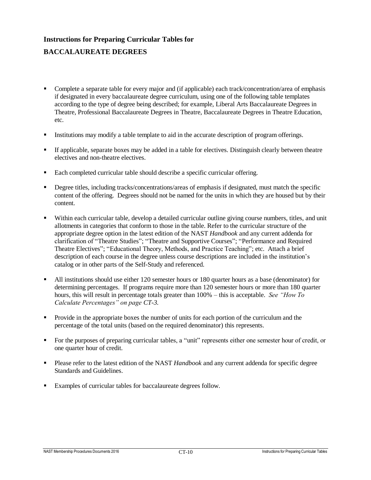# **Instructions for Preparing Curricular Tables for BACCALAUREATE DEGREES**

- Complete a separate table for every major and (if applicable) each track/concentration/area of emphasis if designated in every baccalaureate degree curriculum, using one of the following table templates according to the type of degree being described; for example, Liberal Arts Baccalaureate Degrees in Theatre, Professional Baccalaureate Degrees in Theatre, Baccalaureate Degrees in Theatre Education, etc.
- Institutions may modify a table template to aid in the accurate description of program offerings.
- If applicable, separate boxes may be added in a table for electives. Distinguish clearly between theatre electives and non-theatre electives.
- Each completed curricular table should describe a specific curricular offering.
- Degree titles, including tracks/concentrations/areas of emphasis if designated, must match the specific content of the offering. Degrees should not be named for the units in which they are housed but by their content.
- Within each curricular table, develop a detailed curricular outline giving course numbers, titles, and unit allotments in categories that conform to those in the table. Refer to the curricular structure of the appropriate degree option in the latest edition of the NAST *Handbook* and any current addenda for clarification of "Theatre Studies"; "Theatre and Supportive Courses"; "Performance and Required Theatre Electives"; "Educational Theory, Methods, and Practice Teaching"; etc. Attach a brief description of each course in the degree unless course descriptions are included in the institution's catalog or in other parts of the Self-Study and referenced.
- All institutions should use either 120 semester hours or 180 quarter hours as a base (denominator) for determining percentages. If programs require more than 120 semester hours or more than 180 quarter hours, this will result in percentage totals greater than 100% – this is acceptable. *See "How To Calculate Percentages" on page CT-3.*
- Provide in the appropriate boxes the number of units for each portion of the curriculum and the percentage of the total units (based on the required denominator) this represents.
- For the purposes of preparing curricular tables, a "unit" represents either one semester hour of credit, or one quarter hour of credit.
- Please refer to the latest edition of the NAST *Handbook* and any current addenda for specific degree Standards and Guidelines.
- Examples of curricular tables for baccalaureate degrees follow.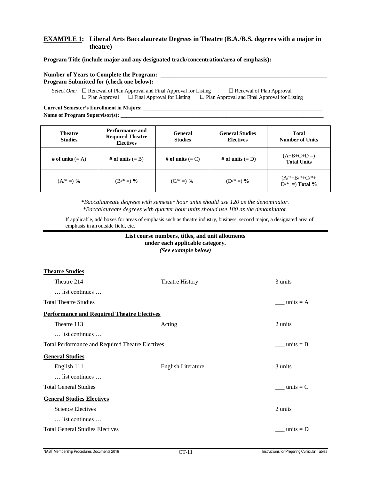#### **EXAMPLE 1: Liberal Arts Baccalaureate Degrees in Theatre (B.A./B.S. degrees with a major in theatre)**

#### **Program Title (include major and any designated track/concentration/area of emphasis):**

#### Number of Years to Complete the Program: **Program Submitted for (check one below):**

*Select One:*  $\Box$  Renewal of Plan Approval and Final Approval for Listing  $\Box$  Renewal of Plan Approval  $\Box$  Plan Approval  $\Box$  Final Approval for Listing  $\Box$  Plan Approval and Final Approval for Listing

**Current Semester's Enrollment in Majors: \_\_\_\_\_\_\_\_\_\_\_\_\_\_\_\_\_\_\_\_\_\_\_\_\_\_\_\_\_\_\_\_\_\_\_\_\_\_\_\_\_\_\_\_\_\_\_\_\_\_\_\_\_\_\_\_\_\_\_**

Name of Program Supervisor(s):

**Theatre Studies**

| <b>Theatre</b><br><b>Studies</b> | Performance and<br><b>Required Theatre</b><br><b>Electives</b> | General<br><b>Studies</b> | <b>General Studies</b><br><b>Electives</b> | <b>Total</b><br><b>Number of Units</b> |
|----------------------------------|----------------------------------------------------------------|---------------------------|--------------------------------------------|----------------------------------------|
| # of units $(= A)$               | # of units $(= B)$                                             | # of units $(= C)$        | # of units $(= D)$                         | $(A+B+C+D=)$<br><b>Total Units</b>     |
| $(A^{*} =)$ %                    | $(B/* =)$ %                                                    | $(C/* =)$ %               | $(D/* =)$ %                                | $(A/*+B/*+C/*+$<br>$D/* =$ Total %     |

**\****Baccalaureate degrees with semester hour units should use 120 as the denominator. \*Baccalaureate degrees with quarter hour units should use 180 as the denominator.*

If applicable, add boxes for areas of emphasis such as theatre industry, business, second major, a designated area of emphasis in an outside field, etc.

#### **List course numbers, titles, and unit allotments under each applicable category.** *(See example below)*

| <u>Theatre Studies</u>                                  |                    |               |
|---------------------------------------------------------|--------------------|---------------|
| Theatre 214                                             | Theatre History    | 3 units       |
| list continues                                          |                    |               |
| <b>Total Theatre Studies</b>                            |                    | units $= A$   |
| <b>Performance and Required Theatre Electives</b>       |                    |               |
| Theatre 113                                             | Acting             | 2 units       |
| list continues                                          |                    |               |
| <b>Total Performance and Required Theatre Electives</b> |                    | units $=$ B   |
| <b>General Studies</b>                                  |                    |               |
| English 111                                             | English Literature | 3 units       |
| list continues                                          |                    |               |
| <b>Total General Studies</b>                            |                    | units $=$ $C$ |
| <b>General Studies Electives</b>                        |                    |               |
| <b>Science Electives</b>                                |                    | 2 units       |
| list continues                                          |                    |               |
| <b>Total General Studies Electives</b>                  |                    | units $= D$   |
|                                                         |                    |               |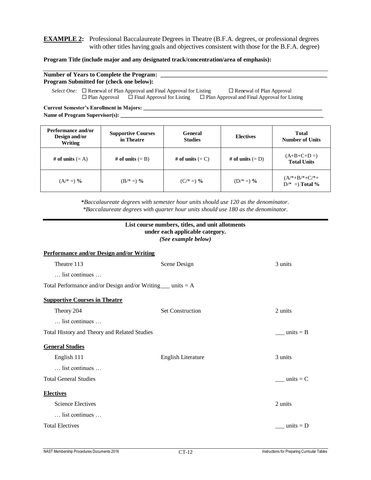#### **EXAMPLE 2:** Professional Baccalaureate Degrees in Theatre (B.F.A. degrees, or professional degrees with other titles having goals and objectives consistent with those for the B.F.A. degree)

#### **Program Title (include major and any designated track/concentration/area of emphasis):**

#### Number of Years to Complete the Program: **Program Submitted for (check one below):**

*Select One:*  $\Box$  Renewal of Plan Approval and Final Approval for Listing  $\Box$  Renewal of Plan Approval  $\Box$  Plan Approval  $\Box$  Final Approval for Listing  $\Box$  Plan Approval and Final Approval for Listing

**Current Semester's Enrollment in Majors: \_\_\_\_\_\_\_\_\_\_\_\_\_\_\_\_\_\_\_\_\_\_\_\_\_\_\_\_\_\_\_\_\_\_\_\_\_\_\_\_\_\_\_\_\_\_\_\_\_\_\_\_\_\_\_\_\_\_\_** Name of Program Supervisor(s):

| Performance and/or<br>Design and/or<br>Writing | <b>Supportive Courses</b><br>in Theatre | General<br><b>Studies</b> | <b>Electives</b>   | <b>Total</b><br><b>Number of Units</b>         |
|------------------------------------------------|-----------------------------------------|---------------------------|--------------------|------------------------------------------------|
| # of units $(= A)$                             | # of units $(= B)$                      | # of units $(= C)$        | # of units $(= D)$ | $(A+B+C+D=)$<br><b>Total Units</b>             |
| $(A^* =)$ %                                    | $(B/* =)$ %                             | $(C/* =)$ %               | $(D/* =)$ %        | $(A^{*}+B^{*}+C^{*}+C^{*})$<br>$D/* =$ Total % |

**\****Baccalaureate degrees with semester hour units should use 120 as the denominator. \*Baccalaureate degrees with quarter hour units should use 180 as the denominator.*

|                                                                | List course numbers, titles, and unit allotments<br>under each applicable category.<br>(See example below) |             |
|----------------------------------------------------------------|------------------------------------------------------------------------------------------------------------|-------------|
| <b>Performance and/or Design and/or Writing</b>                |                                                                                                            |             |
| Theatre 113                                                    | Scene Design                                                                                               | 3 units     |
| list continues                                                 |                                                                                                            |             |
| Total Performance and/or Design and/or Writing $\mu$ units = A |                                                                                                            |             |
| <b>Supportive Courses in Theatre</b>                           |                                                                                                            |             |
| Theory 204                                                     | <b>Set Construction</b>                                                                                    | 2 units     |
| list continues                                                 |                                                                                                            |             |
| Total History and Theory and Related Studies                   |                                                                                                            | units $=$ B |
| <b>General Studies</b>                                         |                                                                                                            |             |
| English 111                                                    | English Literature                                                                                         | 3 units     |
| list continues                                                 |                                                                                                            |             |
| <b>Total General Studies</b>                                   |                                                                                                            | units $=$ C |
| <b>Electives</b>                                               |                                                                                                            |             |
| <b>Science Electives</b>                                       |                                                                                                            | 2 units     |
| list continues                                                 |                                                                                                            |             |
| <b>Total Electives</b>                                         |                                                                                                            | units $= D$ |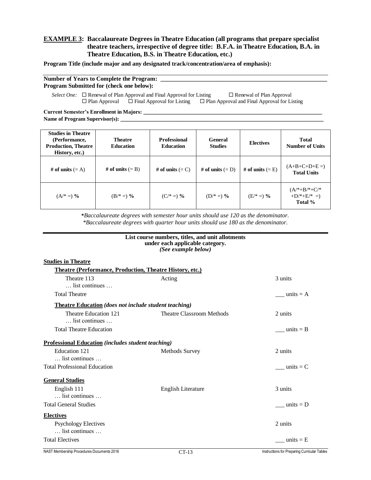#### **EXAMPLE 3: Baccalaureate Degrees in Theatre Education (all programs that prepare specialist theatre teachers, irrespective of degree title: B.F.A. in Theatre Education, B.A. in Theatre Education, B.S. in Theatre Education, etc.)**

**Program Title (include major and any designated track/concentration/area of emphasis):**

#### **Number of Years to Complete the Program: \_\_\_\_\_\_\_\_\_\_\_\_\_\_\_\_\_\_\_\_\_\_\_\_\_\_\_\_\_\_\_\_\_\_\_\_\_\_\_\_\_\_\_\_\_\_\_\_\_\_\_\_\_\_\_ Program Submitted for (check one below):**

*Select One:*  $\Box$  Renewal of Plan Approval and Final Approval for Listing  $\Box$  Renewal of Plan Approval  $\Box$  Plan Approval  $\Box$  Final Approval for Listing  $\Box$  Plan Approval and Final Approval for Listing

**Current Semester's Enrollment in Majors: \_\_\_\_\_\_\_\_\_\_\_\_\_\_\_\_\_\_\_\_\_\_\_\_\_\_\_\_\_\_\_\_\_\_\_\_\_\_\_\_\_\_\_\_\_\_\_\_\_\_\_\_\_\_\_\_\_\_\_ Name of Program Supervisor(s): \_\_\_\_\_\_\_\_\_\_\_\_\_\_\_\_\_\_\_\_\_\_\_\_\_\_\_\_\_\_\_\_\_\_\_\_\_\_\_\_\_\_\_\_\_\_\_\_\_\_\_\_\_\_\_\_\_\_\_\_\_\_\_\_\_\_\_**

| <b>Studies in Theatre</b><br>(Performance,<br><b>Production, Theatre</b><br>History, etc.) | <b>Theatre</b><br><b>Education</b> | <b>Professional</b><br><b>Education</b> | General<br><b>Studies</b> | <b>Electives</b>   | <b>Total</b><br><b>Number of Units</b>    |
|--------------------------------------------------------------------------------------------|------------------------------------|-----------------------------------------|---------------------------|--------------------|-------------------------------------------|
| # of units $(= A)$                                                                         | # of units $(= B)$                 | # of units $(= C)$                      | # of units $(= D)$        | # of units $(= E)$ | $(A+B+C+D+E=)$<br><b>Total Units</b>      |
| $(A^* =)$ %                                                                                | $(B/* =)$ %                        | $(C/* =)$ %                             | $(D/* =)$ %               | $(E/* =)$ %        | $(A/*+B/*+C/*$<br>$+D/*+E/* =$<br>Total % |

**\****Baccalaureate degrees with semester hour units should use 120 as the denominator. \*Baccalaureate degrees with quarter hour units should use 180 as the denominator.*

|                                                                       | List course numbers, titles, and unit allotments<br>under each applicable category.<br>(See example below) |                                              |
|-----------------------------------------------------------------------|------------------------------------------------------------------------------------------------------------|----------------------------------------------|
| <b>Studies in Theatre</b>                                             |                                                                                                            |                                              |
| <b>Theatre (Performance, Production, Theatre History, etc.)</b>       |                                                                                                            |                                              |
| Theatre 113                                                           | Acting                                                                                                     | 3 units                                      |
| $\ldots$ list continues $\ldots$                                      |                                                                                                            |                                              |
| <b>Total Theatre</b>                                                  |                                                                                                            | units $= A$                                  |
| <b>Theatre Education</b> ( <i>does not include student teaching</i> ) |                                                                                                            |                                              |
| Theatre Education 121<br>list continues                               | <b>Theatre Classroom Methods</b>                                                                           | 2 units                                      |
| <b>Total Theatre Education</b>                                        |                                                                                                            | units $=$ B                                  |
| <b>Professional Education</b> (includes student teaching)             |                                                                                                            |                                              |
| Education 121                                                         | <b>Methods Survey</b>                                                                                      | 2 units                                      |
| $\ldots$ list continues $\ldots$                                      |                                                                                                            |                                              |
| <b>Total Professional Education</b>                                   |                                                                                                            | units $= C$                                  |
| <b>General Studies</b>                                                |                                                                                                            |                                              |
| English 111                                                           | <b>English Literature</b>                                                                                  | 3 units                                      |
| list continues                                                        |                                                                                                            |                                              |
| <b>Total General Studies</b>                                          |                                                                                                            | units $= D$                                  |
| <b>Electives</b>                                                      |                                                                                                            |                                              |
| <b>Psychology Electives</b>                                           |                                                                                                            | 2 units                                      |
| $\ldots$ list continues $\ldots$                                      |                                                                                                            |                                              |
| <b>Total Electives</b>                                                |                                                                                                            | units $=$ E                                  |
| NAST Membership Procedures Documents 2016                             | $CT-13$                                                                                                    | Instructions for Preparing Curricular Tables |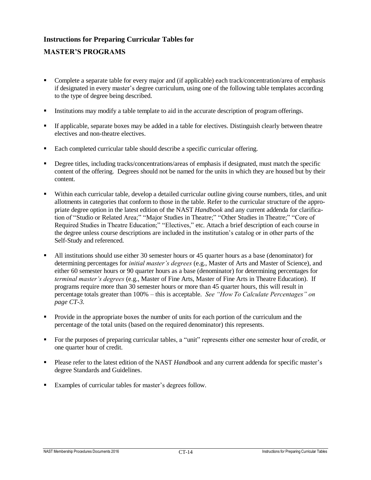# **Instructions for Preparing Curricular Tables for**

## **MASTER'S PROGRAMS**

- Complete a separate table for every major and (if applicable) each track/concentration/area of emphasis if designated in every master's degree curriculum, using one of the following table templates according to the type of degree being described.
- Institutions may modify a table template to aid in the accurate description of program offerings.
- If applicable, separate boxes may be added in a table for electives. Distinguish clearly between theatre electives and non-theatre electives.
- Each completed curricular table should describe a specific curricular offering.
- Degree titles, including tracks/concentrations/areas of emphasis if designated, must match the specific content of the offering. Degrees should not be named for the units in which they are housed but by their content.
- Within each curricular table, develop a detailed curricular outline giving course numbers, titles, and unit allotments in categories that conform to those in the table. Refer to the curricular structure of the appropriate degree option in the latest edition of the NAST *Handbook* and any current addenda for clarification of "Studio or Related Area;" "Major Studies in Theatre;" "Other Studies in Theatre;" "Core of Required Studies in Theatre Education;" "Electives," etc. Attach a brief description of each course in the degree unless course descriptions are included in the institution's catalog or in other parts of the Self-Study and referenced.
- All institutions should use either 30 semester hours or 45 quarter hours as a base (denominator) for determining percentages for *initial master's degrees* (e.g., Master of Arts and Master of Science), and either 60 semester hours or 90 quarter hours as a base (denominator) for determining percentages for *terminal master's degrees* (e.g., Master of Fine Arts, Master of Fine Arts in Theatre Education). If programs require more than 30 semester hours or more than 45 quarter hours, this will result in percentage totals greater than 100% – this is acceptable. *See "How To Calculate Percentages" on page CT-3.*
- Provide in the appropriate boxes the number of units for each portion of the curriculum and the percentage of the total units (based on the required denominator) this represents.
- For the purposes of preparing curricular tables, a "unit" represents either one semester hour of credit, or one quarter hour of credit.
- Please refer to the latest edition of the NAST *Handbook* and any current addenda for specific master's degree Standards and Guidelines.
- Examples of curricular tables for master's degrees follow.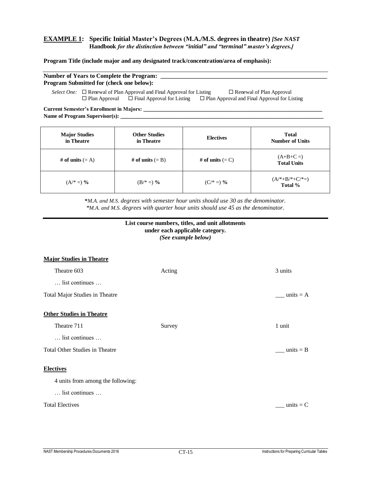#### **EXAMPLE 1: Specific Initial Master's Degrees (M.A./M.S. degrees in theatre)** *[See NAST* **Handbook** *for the distinction between "initial" and "terminal" master's degrees.]*

#### **Program Title (include major and any designated track/concentration/area of emphasis):**

| <b>Number of Years to Complete the Program:</b> |  |
|-------------------------------------------------|--|
| <b>Program Submitted for (check one below):</b> |  |

*Select One:* □ Renewal of Plan Approval and Final Approval for Listing □ Renewal of Plan Approval  $\Box$  Plan Approval  $\Box$  Final Approval for Listing  $\Box$  Plan Approval and Final Approval for Listing

**Current Semester's Enrollment in Majors: \_\_\_\_\_\_\_\_\_\_\_\_\_\_\_\_\_\_\_\_\_\_\_\_\_\_\_\_\_\_\_\_\_\_\_\_\_\_\_\_\_\_\_\_\_\_\_\_\_\_\_\_\_\_\_\_\_\_\_** Name of Program Supervisor(s): \_\_

| <b>Major Studies</b><br>in Theatre | <b>Other Studies</b><br>in Theatre | <b>Electives</b>   | <b>Total</b><br><b>Number of Units</b> |
|------------------------------------|------------------------------------|--------------------|----------------------------------------|
| # of units $(= A)$                 | # of units $(= B)$                 | # of units $(= C)$ | $(A+B+C=)$<br><b>Total Units</b>       |
| $(A^* =)$ %                        | $(B/* =)$ %                        | $(C/* =)$ %        | $(A^{*}+B^{*}+C^{*}=)$<br>Total %      |

**\****M.A. and M.S. degrees with semester hour units should use 30 as the denominator. \*M.A. and M.S. degrees with quarter hour units should use 45 as the denominator.*

#### **List course numbers, titles, and unit allotments under each applicable category.** *(See example below)*

**Major Studies in Theatre** Theatre 603 Acting 3 units … list continues … Total Major Studies in Theatre \_\_\_\_ units = A **Other Studies in Theatre** Theatre 711 Survey 1 unit … list continues … Total Other Studies in Theatre \_\_\_\_ units = B **Electives** 4 units from among the following: … list continues … Total Electives and the contract of the contract of the contract of the contract of the contract of the contract of the contract of the contract of the contract of the contract of the contract of the contract of the contra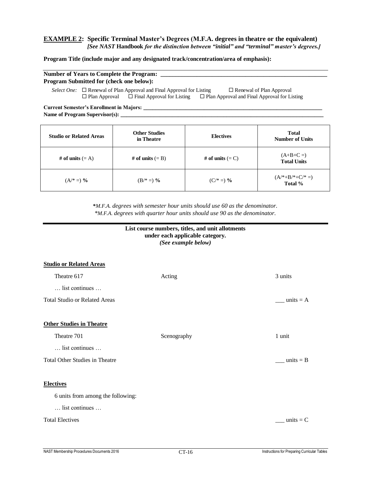#### **EXAMPLE 2: Specific Terminal Master's Degrees (M.F.A. degrees in theatre or the equivalent)** *[See NAST* **Handbook** *for the distinction between "initial" and "terminal" master's degrees.]*

#### **Program Title (include major and any designated track/concentration/area of emphasis):**

## Number of Years to Complete the Program: **Program Submitted for (check one below):**

*Select One:*  $\Box$  Renewal of Plan Approval and Final Approval for Listing  $\Box$  Renewal of Plan Approval  $\Box$  Plan Approval  $\Box$  Final Approval for Listing  $\Box$  Plan Approval and Final Approval for Listing

**Current Semester's Enrollment in Majors: \_\_\_\_\_\_\_\_\_\_\_\_\_\_\_\_\_\_\_\_\_\_\_\_\_\_\_\_\_\_\_\_\_\_\_\_\_\_\_\_\_\_\_\_\_\_\_\_\_\_\_\_\_\_\_\_\_\_\_** Name of Program Supervisor(s):

| <b>Studio or Related Areas</b> | <b>Other Studies</b><br>in Theatre | <b>Electives</b>   | <b>Total</b><br><b>Number of Units</b> |
|--------------------------------|------------------------------------|--------------------|----------------------------------------|
| # of units $(= A)$             | # of units $(= B)$                 | # of units $(= C)$ | $(A+B+C=)$<br><b>Total Units</b>       |
| $(A^{*} =)$ %                  | $(B/* =)$ %                        | $(C/* =)$ %        | $(A^{*}+B^{*}+C^{*}=)$<br>Total %      |

**\****M.F.A. degrees with semester hour units should use 60 as the denominator. \*M.F.A. degrees with quarter hour units should use 90 as the denominator.*

#### **List course numbers, titles, and unit allotments under each applicable category.** *(See example below)*

| <b>Studio or Related Areas</b>        |             |                |
|---------------------------------------|-------------|----------------|
| Theatre 617                           | Acting      | 3 units        |
| list continues                        |             |                |
| <b>Total Studio or Related Areas</b>  |             | units $= A$    |
|                                       |             |                |
| <b>Other Studies in Theatre</b>       |             |                |
| Theatre 701                           | Scenography | 1 unit         |
| list continues                        |             |                |
| <b>Total Other Studies in Theatre</b> |             | $\_ units = B$ |
|                                       |             |                |
| <b>Electives</b>                      |             |                |
| 6 units from among the following:     |             |                |
| list continues                        |             |                |
| <b>Total Electives</b>                |             | units $= C$    |
|                                       |             |                |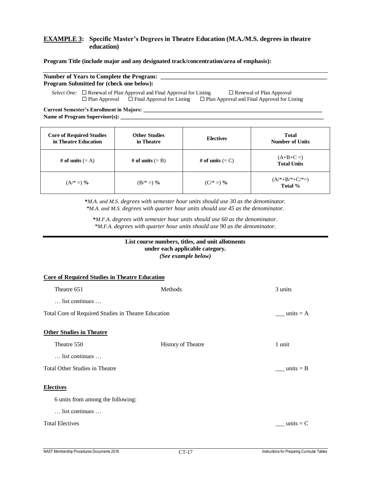#### **EXAMPLE 3: Specific Master's Degrees in Theatre Education (M.A./M.S. degrees in theatre education)**

#### **Program Title (include major and any designated track/concentration/area of emphasis):**

| <b>Number of Years to Complete the Program:</b> |  |
|-------------------------------------------------|--|
| <b>Program Submitted for (check one below):</b> |  |

*Select One:*  $\Box$  Renewal of Plan Approval and Final Approval for Listing  $\Box$  Renewal of Plan Approval  $\Box$  Plan Approval  $\Box$  Final Approval for Listing  $\Box$  Plan Approval and Final Approval for Listing

**Current Semester's Enrollment in Majors: \_\_\_\_\_\_\_\_\_\_\_\_\_\_\_\_\_\_\_\_\_\_\_\_\_\_\_\_\_\_\_\_\_\_\_\_\_\_\_\_\_\_\_\_\_\_\_\_\_\_\_\_\_\_\_\_\_\_\_** Name of Program Supervisor(s):

| <b>Core of Required Studies</b><br>in Theatre Education | <b>Other Studies</b><br>in Theatre | <b>Electives</b>   | <b>Total</b><br><b>Number of Units</b> |
|---------------------------------------------------------|------------------------------------|--------------------|----------------------------------------|
| # of units $(= A)$                                      | # of units $(= B)$                 | # of units $(= C)$ | $(A+B+C=)$<br><b>Total Units</b>       |
| $(A^{*}=)$ %                                            | $(B/* =)$ %                        | $(C/* =)$ %        | $(A^{*}+B^{*}+C^{*}=)$<br>Total %      |

**\****M.A. and M.S. degrees with semester hour units should use 30 as the denominator. \*M.A. and M.S. degrees with quarter hour units should use 45 as the denominator.*

**\****M.F.A. degrees with semester hour units should use 60 as the denominator. \*M.F.A. degrees with quarter hour units should use 90 as the denominator.*

#### **List course numbers, titles, and unit allotments under each applicable category.** *(See example below)*

| <b>Core of Required Studies in Theatre Education</b> |                           |                    |
|------------------------------------------------------|---------------------------|--------------------|
| Theatre 651                                          | Methods                   | 3 units            |
| $\ldots$ list continues $\ldots$                     |                           |                    |
| Total Core of Required Studies in Theatre Education  |                           | $\_ units = A$     |
| <b>Other Studies in Theatre</b>                      |                           |                    |
| Theatre 550                                          | <b>History of Theatre</b> | 1 unit             |
| list continues                                       |                           |                    |
| <b>Total Other Studies in Theatre</b>                |                           | $\angle$ units = B |
| <b>Electives</b>                                     |                           |                    |
| 6 units from among the following:                    |                           |                    |
| list continues                                       |                           |                    |
| <b>Total Electives</b>                               |                           | units $= C$        |
|                                                      |                           |                    |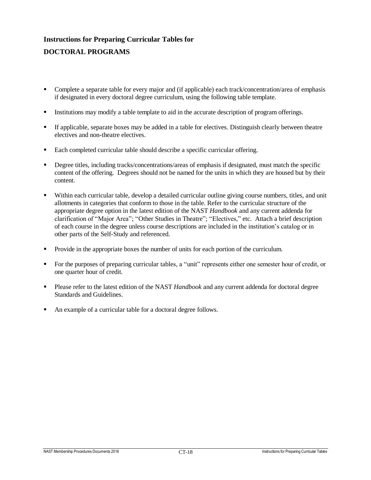# **Instructions for Preparing Curricular Tables for DOCTORAL PROGRAMS**

- Complete a separate table for every major and (if applicable) each track/concentration/area of emphasis if designated in every doctoral degree curriculum, using the following table template.
- Institutions may modify a table template to aid in the accurate description of program offerings.
- If applicable, separate boxes may be added in a table for electives. Distinguish clearly between theatre electives and non-theatre electives.
- Each completed curricular table should describe a specific curricular offering.
- Degree titles, including tracks/concentrations/areas of emphasis if designated, must match the specific content of the offering. Degrees should not be named for the units in which they are housed but by their content.
- Within each curricular table, develop a detailed curricular outline giving course numbers, titles, and unit allotments in categories that conform to those in the table. Refer to the curricular structure of the appropriate degree option in the latest edition of the NAST *Handbook* and any current addenda for clarification of "Major Area"; "Other Studies in Theatre"; "Electives," etc. Attach a brief description of each course in the degree unless course descriptions are included in the institution's catalog or in other parts of the Self-Study and referenced.
- Provide in the appropriate boxes the number of units for each portion of the curriculum.
- For the purposes of preparing curricular tables, a "unit" represents either one semester hour of credit, or one quarter hour of credit.
- Please refer to the latest edition of the NAST *Handbook* and any current addenda for doctoral degree Standards and Guidelines.
- An example of a curricular table for a doctoral degree follows.